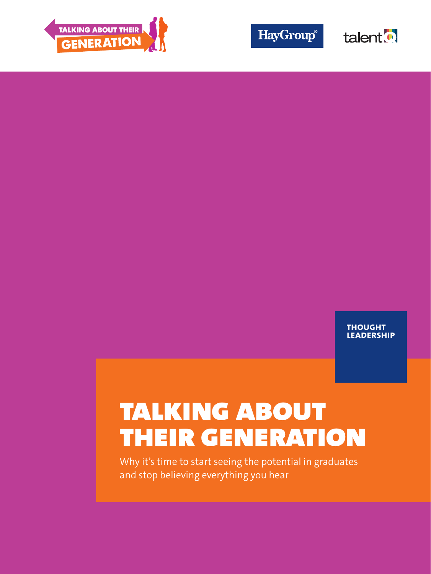

**HayGroup®** 



**thought leadership**

# talking about their generation

Why it's time to start seeing the potential in graduates and stop believing everything you hear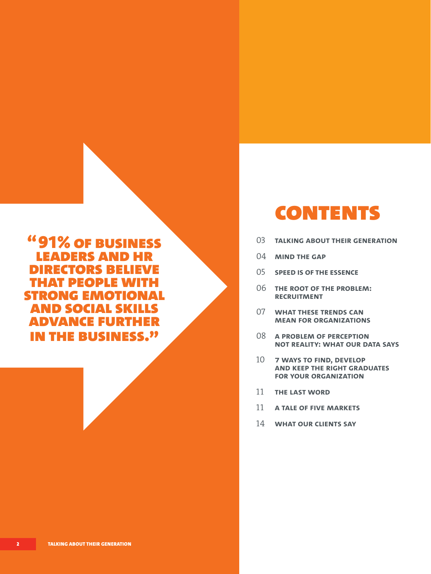"91% of business leaders and hr directors believe that people with strong emotional and social skills advance further in the business."

## **CONTENTS**

- 03 **talking about their generation**
- 04 **mind the gap**
- 05 **speed is of the essence**
- 06 **the root of the problem: recruitment**
- 07 **what these trends can mean for organizations**
- 08 **a problem of perception not reality: what our data says**
- 10 **7 ways to find, develop and keep the right graduates for your organization**
- 11 **the last word**
- 11 **a tale of five markets**
- 14 **what our clients say**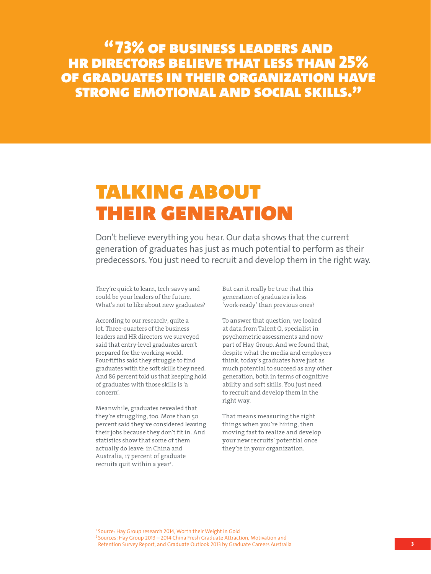"73% of business leaders and hr directors believe that less than 25% of graduates in their organization have strong emotional and social skills."

## talking about THEIR GENERATION

Don't believe everything you hear. Our data shows that the current generation of graduates has just as much potential to perform as their predecessors. You just need to recruit and develop them in the right way.

They're quick to learn, tech-savvy and could be your leaders of the future. What's not to like about new graduates?

According to our research<sup>1</sup>, quite a lot. Three-quarters of the business leaders and HR directors we surveyed said that entry-level graduates aren't prepared for the working world. Four-fifths said they struggle to find graduates with the soft skills they need. And 86 percent told us that keeping hold of graduates with those skills is 'a concern'.

Meanwhile, graduates revealed that they're struggling, too. More than 50 percent said they've considered leaving their jobs because they don't fit in. And statistics show that some of them actually do leave: in China and Australia, 17 percent of graduate recruits quit within a year<sup>2</sup>.

But can it really be true that this generation of graduates is less 'work-ready' than previous ones?

To answer that question, we looked at data from Talent Q, specialist in psychometric assessments and now part of Hay Group. And we found that, despite what the media and employers think, today's graduates have just as much potential to succeed as any other generation, both in terms of cognitive ability and soft skills. You just need to recruit and develop them in the right way.

That means measuring the right things when you're hiring, then moving fast to realize and develop your new recruits' potential once they're in your organization.

1 Source: Hay Group research 2014, Worth their Weight in Gold 2 Sources: Hay Group 2013 – 2014 China Fresh Graduate Attraction, Motivation and Retention Survey Report, and Graduate Outlook 2013 by Graduate Careers Australia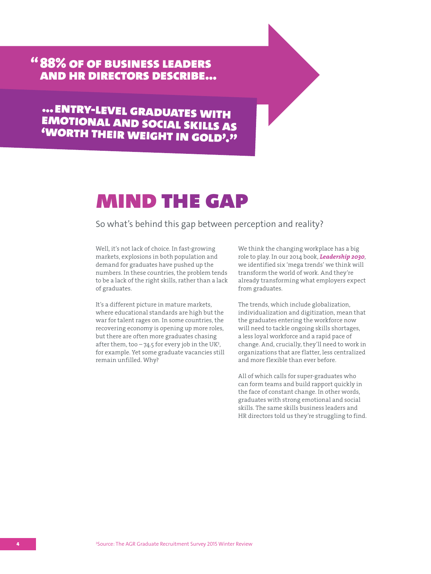" 88% of of business leaders and hr directors describe...

... ENTRY-LEVEL GRADUATES WITH emotional and social skills as 'worth their weight in gold'."

## mind the gap

So what's behind this gap between perception and reality?

Well, it's not lack of choice. In fast-growing markets, explosions in both population and demand for graduates have pushed up the numbers. In these countries, the problem tends to be a lack of the right skills, rather than a lack of graduates.

It's a different picture in mature markets, where educational standards are high but the war for talent rages on. In some countries, the recovering economy is opening up more roles, but there are often more graduates chasing after them, too  $-74.5$  for every job in the UK<sup>3</sup>, for example. Yet some graduate vacancies still remain unfilled. Why?

We think the changing workplace has a big role to play. In our 2014 book, Leadership 2030, we identified six 'mega trends' we think will transform the world of work. And they're already transforming what employers expect from graduates.

The trends, which include globalization, individualization and digitization, mean that the graduates entering the workforce now will need to tackle ongoing skills shortages, a less loyal workforce and a rapid pace of change. And, crucially, they'll need to work in organizations that are flatter, less centralized and more flexible than ever before.

All of which calls for super-graduates who can form teams and build rapport quickly in the face of constant change. In other words, graduates with strong emotional and social skills. The same skills business leaders and HR directors told us they're struggling to find.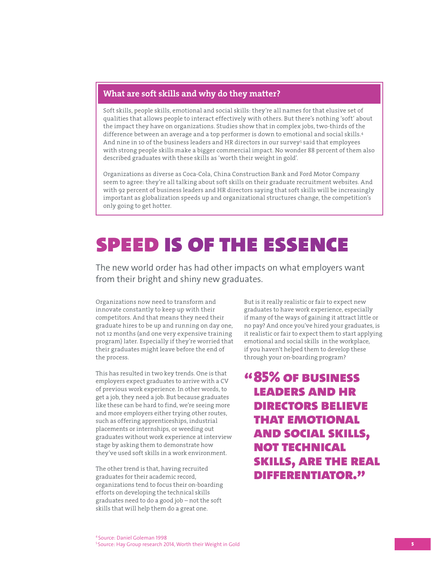### What are soft skills and why do they matter?

Soft skills, people skills, emotional and social skills: they're all names for that elusive set of qualities that allows people to interact effectively with others. But there's nothing 'soft' about the impact they have on organizations. Studies show that in complex jobs, two-thirds of the difference between an average and a top performer is down to emotional and social skills.<sup>4</sup> And nine in 10 of the business leaders and HR directors in our survey<sup>5</sup> said that employees with strong people skills make a bigger commercial impact. No wonder 88 percent of them also described graduates with these skills as 'worth their weight in gold'.

Organizations as diverse as Coca-Cola, China Construction Bank and Ford Motor Company seem to agree: they're all talking about soft skills on their graduate recruitment websites. And with 92 percent of business leaders and HR directors saying that soft skills will be increasingly important as globalization speeds up and organizational structures change, the competition's only going to get hotter.

## speed is of the essence

The new world order has had other impacts on what employers want from their bright and shiny new graduates.

Organizations now need to transform and innovate constantly to keep up with their competitors. And that means they need their graduate hires to be up and running on day one, not 12 months (and one very expensive training program) later. Especially if they're worried that their graduates might leave before the end of the process.

This has resulted in two key trends. One is that employers expect graduates to arrive with a CV of previous work experience. In other words, to get a job, they need a job. But because graduates like these can be hard to find, we're seeing more and more employers either trying other routes, such as offering apprenticeships, industrial placements or internships, or weeding out graduates without work experience at interview stage by asking them to demonstrate how they've used soft skills in a work environment.

The other trend is that, having recruited graduates for their academic record, organizations tend to focus their on-boarding efforts on developing the technical skills graduates need to do a good job – not the soft skills that will help them do a great one.

But is it really realistic or fair to expect new graduates to have work experience, especially if many of the ways of gaining it attract little or no pay? And once you've hired your graduates, is it realistic or fair to expect them to start applying emotional and social skills in the workplace, if you haven't helped them to develop these through your on-boarding program?

" 85% of business leaders and hr directors believe that emotional and social skills, not technical skills, are the real differentiator."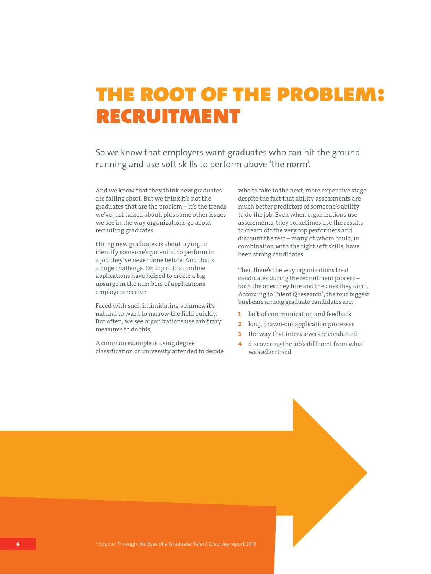## the root of the problem: recruitment

So we know that employers want graduates who can hit the ground running and use soft skills to perform above 'the norm'.

And we know that they think new graduates are falling short. But we think it's not the graduates that are the problem – it's the trends we've just talked about, plus some other issues we see in the way organizations go about recruiting graduates.

Hiring new graduates is about trying to identify someone's potential to perform in a job they've never done before. And that's a huge challenge. On top of that, online applications have helped to create a big upsurge in the numbers of applications employers receive.

Faced with such intimidating volumes, it's natural to want to narrow the field quickly. But often, we see organizations use arbitrary measures to do this.

A common example is using degree classification or university attended to decide who to take to the next, more expensive stage, despite the fact that ability assessments are much better predictors of someone's ability to do the job. Even when organizations use assessments, they sometimes use the results to cream off the very top performers and discount the rest – many of whom could, in combination with the right soft skills, have been strong candidates.

Then there's the way organizations treat candidates during the recruitment process – both the ones they hire and the ones they don't. According to Talent Q research<sup>6</sup>, the four biggest bugbears among graduate candidates are:

- 1 lack of communication and feedback
- 2 long, drawn-out application processes
- 3 the way that interviews are conducted
- 4 discovering the job's different from what was advertised.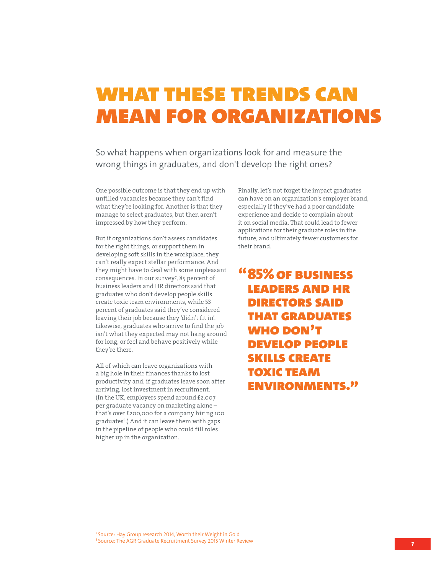## what these trends can mean for organizations

So what happens when organizations look for and measure the wrong things in graduates, and don't develop the right ones?

One possible outcome is that they end up with unfilled vacancies because they can't find what they're looking for. Another is that they manage to select graduates, but then aren't impressed by how they perform.

But if organizations don't assess candidates for the right things, or support them in developing soft skills in the workplace, they can't really expect stellar performance. And they might have to deal with some unpleasant consequences. In our survey<sup>7</sup>, 85 percent of business leaders and HR directors said that graduates who don't develop people skills create toxic team environments, while 53 percent of graduates said they've considered leaving their job because they 'didn't fit in'. Likewise, graduates who arrive to find the job isn't what they expected may not hang around for long, or feel and behave positively while they're there.

All of which can leave organizations with a big hole in their finances thanks to lost productivity and, if graduates leave soon after arriving, lost investment in recruitment. (In the UK, employers spend around £2,007 per graduate vacancy on marketing alone – that's over £200,000 for a company hiring 100 graduates<sup>8</sup> .) And it can leave them with gaps in the pipeline of people who could fill roles higher up in the organization.

Finally, let's not forget the impact graduates can have on an organization's employer brand, especially if they've had a poor candidate experience and decide to complain about it on social media. That could lead to fewer applications for their graduate roles in the future, and ultimately fewer customers for their brand.

"85% of business leaders and hr directors said that graduates WHO DON'T develop people skills create toxic team environments."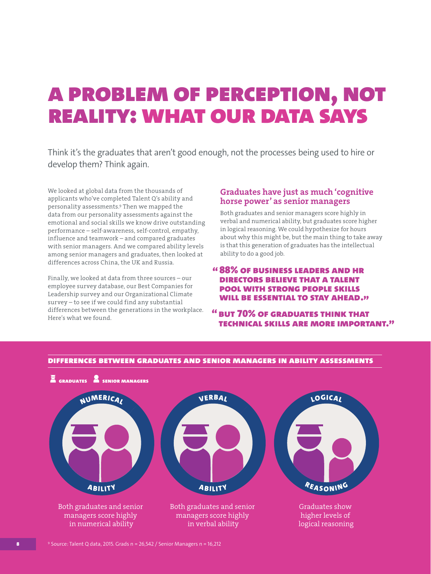## a problem of perception, not reality: what our data says

Think it's the graduates that aren't good enough, not the processes being used to hire or develop them? Think again.

We looked at global data from the thousands of applicants who've completed Talent Q's ability and personality assessments.<sup>9</sup> Then we mapped the data from our personality assessments against the emotional and social skills we know drive outstanding performance – self-awareness, self-control, empathy, influence and teamwork – and compared graduates with senior managers. And we compared ability levels among senior managers and graduates, then looked at differences across China, the UK and Russia.

Finally, we looked at data from three sources – our employee survey database, our Best Companies for Leadership survey and our Organizational Climate survey – to see if we could find any substantial differences between the generations in the workplace. Here's what we found.

### Graduates have just as much 'cognitive horse power' as senior managers

Both graduates and senior managers score highly in verbal and numerical ability, but graduates score higher in logical reasoning. We could hypothesize for hours about why this might be, but the main thing to take away is that this generation of graduates has the intellectual ability to do a good job.

### " 88% of business leaders and hr directors believe that a talent pool with strong people skills WILL BE ESSENTIAL TO STAY AHEAD."

" but 70% of graduates think that technical skills are more important."



differences between graduates and senior managers in ability assessments

 $9$  Source: Talent Q data, 2015. Grads n = 26,542 / Senior Managers n = 16,212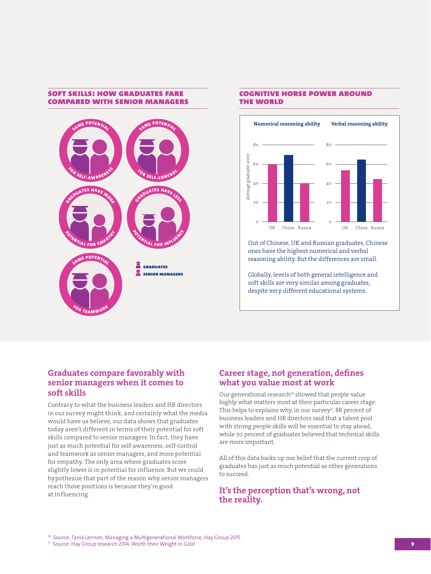### soft skills: how graduates fare compared with senior managers



### cognitive horse power around the world



Out of Chinese, UK and Russian graduates, Chinese ones have the highest numerical and verbal reasoning ability. But the differences are small.

Globally, levels of both general intelligence and soft skills are very similar among graduates, despite very different educational systems.

### Graduates compare favorably with senior managers when it comes to soft skills

Contrary to what the business leaders and HR directors in our survey might think, and certainly what the media would have us believe, our data shows that graduates today aren't different in terms of their potential for soft skills compared to senior managers. In fact, they have just as much potential for self-awareness, self-control and teamwork as senior managers, and more potential for empathy. The only area where graduates score slightly lower is in potential for influence. But we could hypothesize that part of the reason why senior managers reach those positions is because they're good at influencing.

### Career stage, not generation, defines what you value most at work

Our generational research<sup>10</sup> showed that people value highly what matters most at their particular career stage. This helps to explains why, in our survey<sup>11</sup>, 88 percent of business leaders and HR directors said that a talent pool with strong people skills will be essential to stay ahead, while 70 percent of graduates believed that technical skills are more important.

All of this data backs up our belief that the current crop of graduates has just as much potential as other generations to succeed.

### It's the perception that's wrong, not the reality.

<sup>10</sup> Source: Tania Lennon, Managing a Multigenerational Workforce, Hay Group 2015

<sup>11</sup> Source: Hay Group research 2014, Worth their Weight in Gold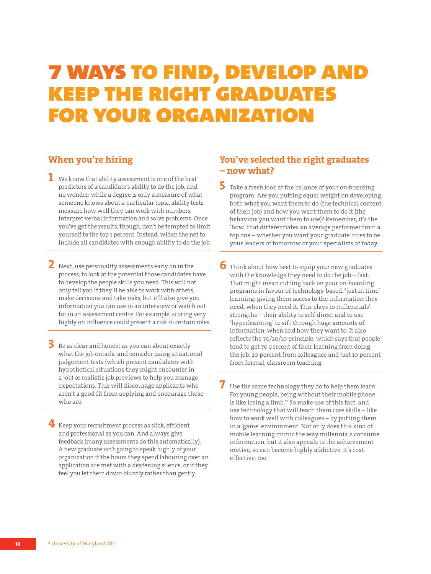## 7 ways to find, develop and keep the right graduates for your organization

## When you're hiring

- $\mathbf 1$  We know that ability assessment is one of the best predictors of a candidate's ability to do the job, and no wonder: while a degree is only a measure of what someone knows about a particular topic, ability tests measure how well they can work with numbers, interpret verbal information and solve problems. Once you've got the results, though, don't be tempted to limit yourself to the top 1 percent. Instead, widen the net to include all candidates with enough ability to do the job.
- 2 Next, use personality assessments early on in the process, to look at the potential those candidates have to develop the people skills you need. This will not only tell you if they'll be able to work with others, make decisions and take risks, but it'll also give you information you can use in an interview or watch out for in an assessment centre. For example, scoring very highly on influence could present a risk in certain roles.
- $\,$  Be as clear and honest as you can about exactly what the job entails, and consider using situational judgement tests (which present candidates with hypothetical situations they might encounter in a job) or realistic job previews to help you manage expectations. This will discourage applicants who aren't a good fit from applying and encourage those who are.
- 4 Keep your recruitment process as slick, efficient and professional as you can. And always give feedback (many assessments do this automatically). A new graduate isn't going to speak highly of your organization if the hours they spend labouring over an application are met with a deafening silence, or if they feel you let them down bluntly rather than gently.

## You've selected the right graduates – now what?

- $\overline{\mathbf{5}}$  Take a fresh look at the balance of your on-boarding program. Are you putting equal weight on developing both what you want them to do (the technical content of their job) and how you want them to do it (the behaviors you want them to use)? Remember, it's the 'how' that differentiates an average performer from a top one – whether you want your graduate hires to be your leaders of tomorrow or your specialists of today.
- 6 Think about how best to equip your new graduates with the knowledge they need to do the job – fast. That might mean cutting back on your on-boarding programs in favour of technology-based, 'just in time' learning: giving them access to the information they need, when they need it. This plays to millennials' strengths – their ability to self-direct and to use 'hyperlearning' to sift through huge amounts of information, when and how they want to. It also reflects the 70/20/10 principle, which says that people tend to get 70 percent of their learning from doing the job, 20 percent from colleagues and just 10 percent from formal, classroom teaching.
- 7 Use the same technology they do to help them learn. For young people, being without their mobile phone is like losing a limb.<sup>12</sup> So make use of this fact, and use technology that will teach them core skills – like how to work well with colleagues – by putting them in a 'game' environment. Not only does this kind of mobile learning mimic the way millennials consume information, but it also appeals to the achievement motive, so can become highly addictive. It's costeffective, too.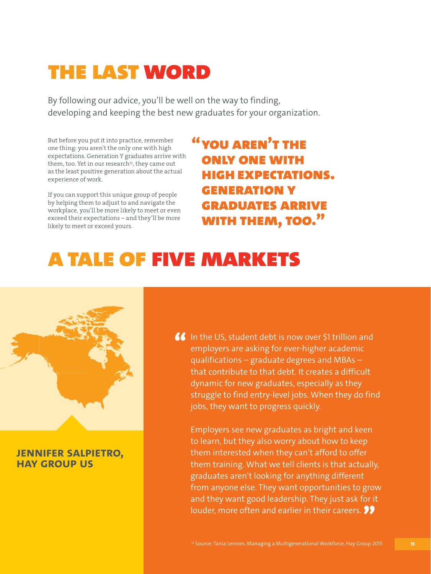## the last word

By following our advice, you'll be well on the way to finding, developing and keeping the best new graduates for your organization.

But before you put it into practice, remember one thing: you aren't the only one with high expectations. Generation Y graduates arrive with them, too. Yet in our research<sup>13</sup>, they came out as the least positive generation about the actual experience of work.

If you can support this unique group of people by helping them to adjust to and navigate the workplace, you'll be more likely to meet or even exceed their expectations – and they'll be more likely to meet or exceed yours.

" you aren't the only one with high expectations. generation y graduates arrive with them, too."

## a tale of five markets



## **jennifer salpietro, hay group us**

**66** In the US, student debt is now over \$1 trillion and employers are asking for ever-higher academic qualifications – graduate degrees and MBAs – that contribute to that debt. It creates a difficult dynamic for new graduates, especially as they struggle to find entry-level jobs. When they do find jobs, they want to progress quickly.

 Employers see new graduates as bright and keen to learn, but they also worry about how to keep them interested when they can't afford to offer them training. What we tell clients is that actually, graduates aren't looking for anything different from anyone else. They want opportunities to grow and they want good leadership. They just ask for it louder, more often and earlier in their careers.  $\bullet \bullet$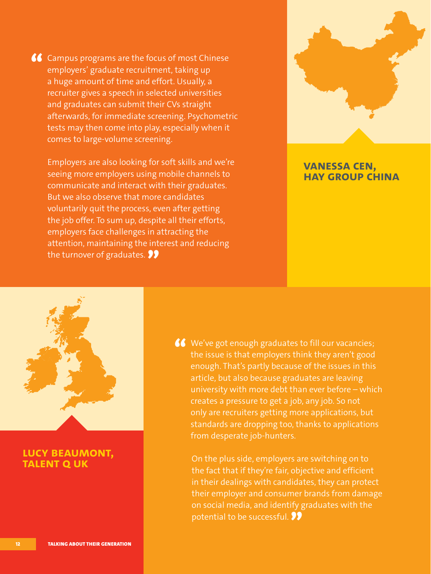$\bigcup$  Campus programs are the focus of most Chinese employers' graduate recruitment, taking up a huge amount of time and effort. Usually, a recruiter gives a speech in selected universities and graduates can submit their CVs straight afterwards, for immediate screening. Psychometric tests may then come into play, especially when it comes to large-volume screening.

 Employers are also looking for soft skills and we're seeing more employers using mobile channels to communicate and interact with their graduates. But we also observe that more candidates voluntarily quit the process, even after getting the job offer. To sum up, despite all their efforts, employers face challenges in attracting the attention, maintaining the interest and reducing the turnover of graduates.  $\bullet\bullet$ 



## **vanessa cen, hay group china**



## **lucy beaumont, TALENT Q UK**

We've got enough graduates to fill our vacancies; the issue is that employers think they aren't good enough. That's partly because of the issues in this article, but also because graduates are leaving university with more debt than ever before – which creates a pressure to get a job, any job. So not only are recruiters getting more applications, but standards are dropping too, thanks to applications from desperate job-hunters.

 On the plus side, employers are switching on to the fact that if they're fair, objective and efficient in their dealings with candidates, they can protect their employer and consumer brands from damage on social media, and identify graduates with the potential to be successful.  $\bullet\bullet$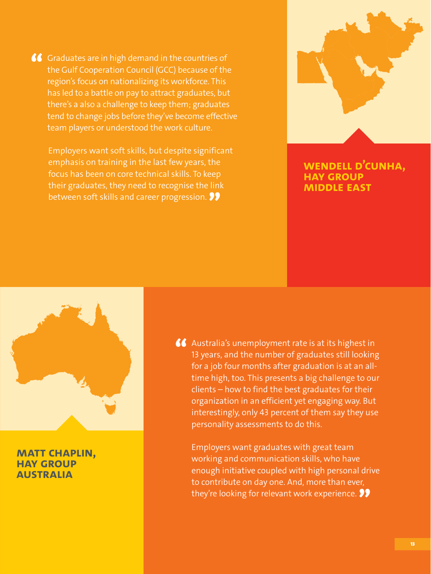GC Graduates are in high demand in the countries of<br>the Gulf Cooperation Council (GCC) because of the region's focus on nationalizing its workforce. This has led to a battle on pay to attract graduates, but there's a also a challenge to keep them; graduates tend to change jobs before they've become effective team players or understood the work culture.

 Employers want soft skills, but despite significant emphasis on training in the last few years, the focus has been on core technical skills. To keep their graduates, they need to recognise the link between soft skills and career progression.  $\bullet\bullet$ 

*Women in Whitehall* – Culture, Leadership, Talent. Hay Group 2014



**wendell d'cunha, hay group middle east**



## **matt chaplin, hay group australia**

66 Australia's unemployment rate is at its highest in 13 years, and the number of graduates still looking for a job four months after graduation is at an alltime high, too. This presents a big challenge to our clients – how to find the best graduates for their organization in an efficient yet engaging way. But interestingly, only 43 percent of them say they use personality assessments to do this.

 Employers want graduates with great team working and communication skills, who have enough initiative coupled with high personal drive to contribute on day one. And, more than ever, they're looking for relevant work experience.  $\bullet\bullet$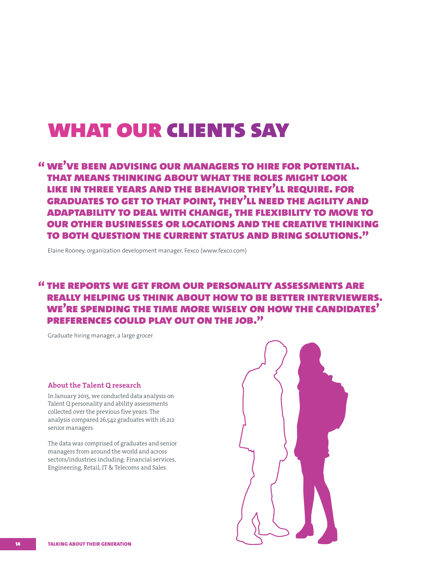## what our clients say

## " we've been advising our managers to hire for potential. that means thinking about what the roles might look like in three years and the behavior they'll require. for graduates to get to that point, they'll need the agility and adaptability to deal with change, the flexibility to move to our other businesses or locations and the creative thinking to both question the current status and bring solutions."

Elaine Rooney, organization development manager, Fexco (www.fexco.com)

## " the reports we get from our personality assessments are really helping us think about how to be better interviewers. we're spending the time more wisely on how the candidates' preferences could play out on the job."

Graduate hiring manager, a large grocer

#### About the Talent Q research

In January 2015, we conducted data analysis on Talent Q personality and ability assessments collected over the previous five years. The analysis compared 26,542 graduates with 16,212 senior managers.

The data was comprised of graduates and senior managers from around the world and across sectors/industries including: Financial services, Engineering, Retail, IT & Telecoms and Sales.

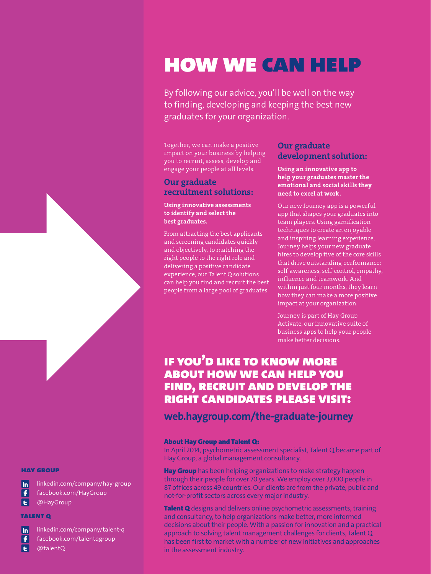## how we can help

By following our advice, you'll be well on the way to finding, developing and keeping the best new graduates for your organization.

Together, we can make a positive impact on your business by helping you to recruit, assess, develop and engage your people at all levels.

### Our graduate recruitment solutions:

### Using innovative assessments to identify and select the best graduates.

From attracting the best applicants and screening candidates quickly and objectively, to matching the right people to the right role and delivering a positive candidate experience, our Talent Q solutions can help you find and recruit the best people from a large pool of graduates.

### Our graduate development solution:

### Using an innovative app to help your graduates master the emotional and social skills they need to excel at work.

Our new Journey app is a powerful app that shapes your graduates into team players. Using gamification techniques to create an enjoyable and inspiring learning experience, Journey helps your new graduate hires to develop five of the core skills that drive outstanding performance: self-awareness, self-control, empathy, influence and teamwork. And within just four months, they learn how they can make a more positive impact at your organization.

Journey is part of Hay Group Activate, our innovative suite of business apps to help your people make better decisions.

## if you'd like to know more about how we can help you find, recruit and develop the right candidates please visit:

**web.haygroup.com/the-graduate-journey** 

### About Hay Group and Talent Q:

In April 2014, psychometric assessment specialist, Talent Q became part of Hay Group, a global management consultancy.

**Hay Group** has been helping organizations to make strategy happen through their people for over 70 years. We employ over 3,000 people in 87 offices across 49 countries. Our clients are from the private, public and not-for-profit sectors across every major industry.

Talent Q designs and delivers online psychometric assessments, training and consultancy, to help organizations make better, more informed decisions about their people. With a passion for innovation and a practical approach to solving talent management challenges for clients, Talent Q has been first to market with a number of new initiatives and approaches in the assessment industry.

#### hay group

in linkedin.com/company/hay-group

- $\overline{\mathbf{f}}$ facebook.com/HayGroup
- le. @HayGroup

#### talent q

- in linkedin.com/company/talent-q
- Ŧ facebook.com/talentqgroup
- l el @talentQ